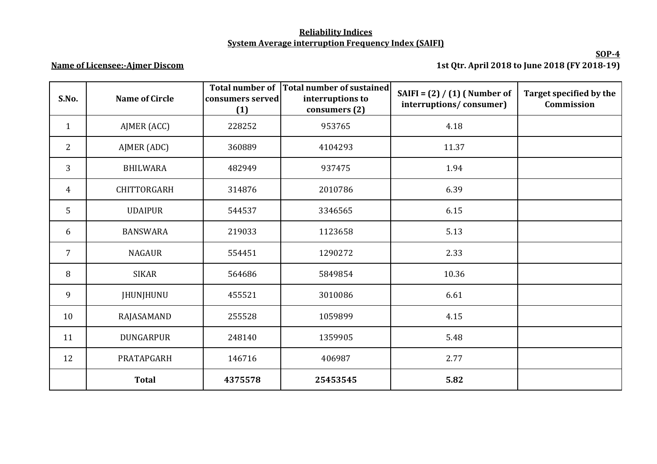## **Reliability Indices System Average interruption Frequency Index (SAIFI)**

## **Name of Licensee:-Ajmer Discom**

**SOP-4 1st Qtr. April 2018 to June 2018 (FY 2018-19)**

| S.No.          | <b>Name of Circle</b> | <b>Total number of</b><br>consumers served<br>(1) | Total number of sustained<br>interruptions to<br>consumers (2) | SAIFI = $(2) / (1)$ (Number of<br>interruptions/consumer) | Target specified by the<br>Commission |
|----------------|-----------------------|---------------------------------------------------|----------------------------------------------------------------|-----------------------------------------------------------|---------------------------------------|
| $\mathbf{1}$   | AJMER (ACC)           | 228252                                            | 953765                                                         | 4.18                                                      |                                       |
| $\overline{2}$ | AJMER (ADC)           | 360889                                            | 4104293                                                        | 11.37                                                     |                                       |
| 3              | <b>BHILWARA</b>       | 482949                                            | 937475                                                         | 1.94                                                      |                                       |
| $\overline{4}$ | <b>CHITTORGARH</b>    | 314876                                            | 2010786                                                        | 6.39                                                      |                                       |
| 5              | <b>UDAIPUR</b>        | 544537                                            | 3346565                                                        | 6.15                                                      |                                       |
| 6              | <b>BANSWARA</b>       | 219033                                            | 1123658                                                        | 5.13                                                      |                                       |
| $\overline{7}$ | <b>NAGAUR</b>         | 554451                                            | 1290272                                                        | 2.33                                                      |                                       |
| 8              | <b>SIKAR</b>          | 564686                                            | 5849854                                                        | 10.36                                                     |                                       |
| 9              | <b>JHUNJHUNU</b>      | 455521                                            | 3010086                                                        | 6.61                                                      |                                       |
| 10             | RAJASAMAND            | 255528                                            | 1059899                                                        | 4.15                                                      |                                       |
| 11             | <b>DUNGARPUR</b>      | 248140                                            | 1359905                                                        | 5.48                                                      |                                       |
| 12             | PRATAPGARH            | 146716                                            | 406987                                                         | 2.77                                                      |                                       |
|                | <b>Total</b>          | 4375578                                           | 25453545                                                       | 5.82                                                      |                                       |